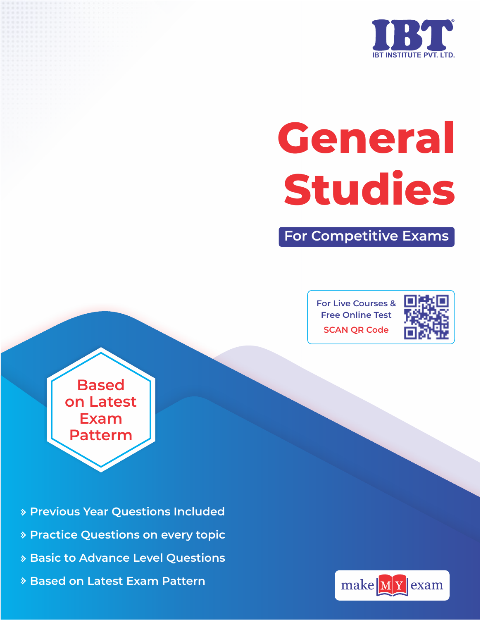

# **General Studies**

**For Competitive Exams**

**For Live Courses & Free Online Test SCAN QR Code**



**Based on Latest Exam Patterm**

- **Previous Year Questions Included**
- **Practice Questions on every topic**
- **Basic to Advance Level Questions**
- **Based on Latest Exam Pattern**

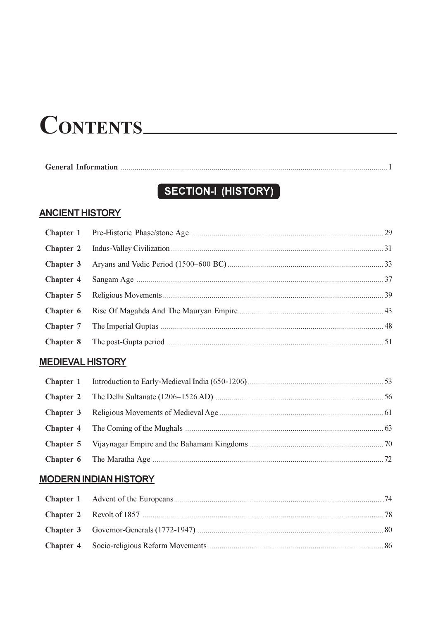## CONTENTS

## SECTION-I (HISTORY)

## **ANCIENT HISTORY**

## **MEDIEVAL HISTORY**

## **MODERN INDIAN HISTORY**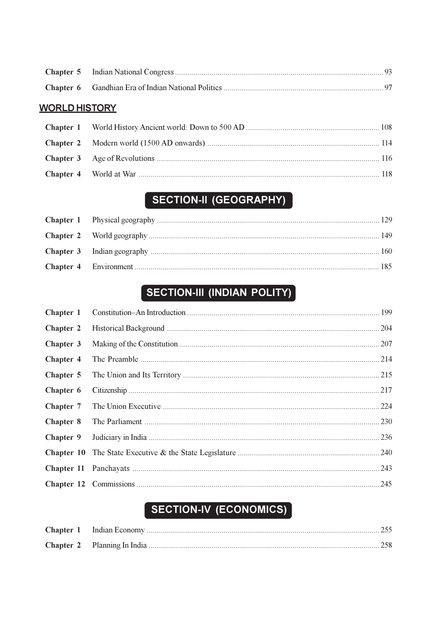## **WORLD HISTORY**

## SECTION-II (GEOGRAPHY)

## SECTION-III (INDIAN POLITY)

| Chapter 1        |      |
|------------------|------|
| <b>Chapter 2</b> |      |
| Chapter 3        |      |
| <b>Chapter 4</b> |      |
| Chapter 5        |      |
| Chapter 6        |      |
| <b>Chapter 7</b> | .224 |
| <b>Chapter 8</b> |      |
| Chapter 9        | 236  |
|                  | .240 |
|                  | .243 |
|                  |      |

## SECTION-IV (ECONOMICS)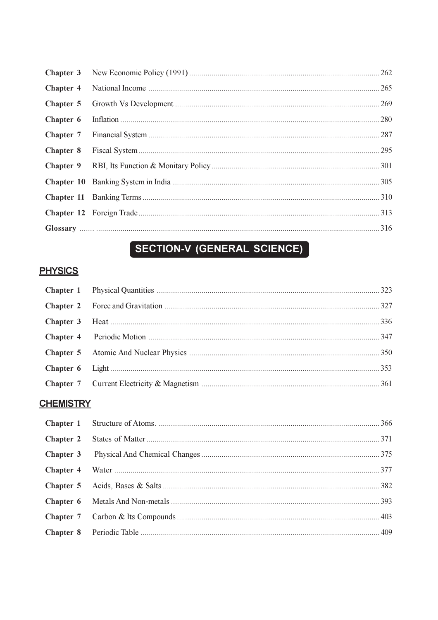## SECTION-V (GENERAL SCIENCE)

## **PHYSICS**

## **CHEMISTRY**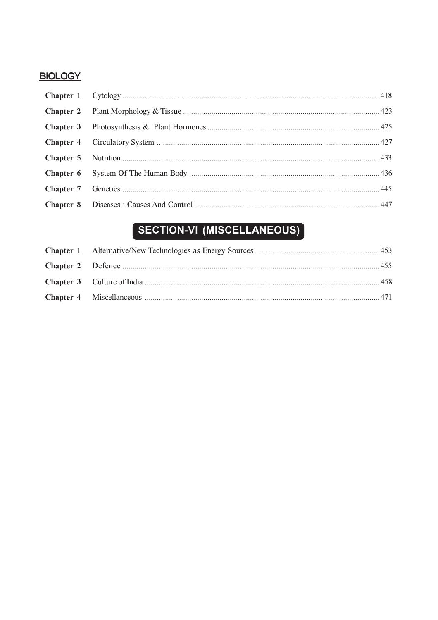### **BIOLOGY**

## SECTION-VI (MISCELLANEOUS)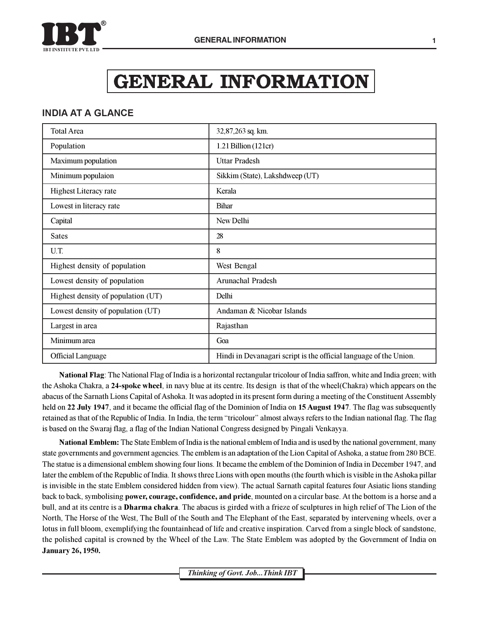

## **GENERAL INFORMATION**

#### **INDIA AT A GLANCE**

| <b>Total Area</b>                  | 32,87,263 sq. km.                                                 |
|------------------------------------|-------------------------------------------------------------------|
| Population                         | 1.21 Billion (121cr)                                              |
| Maximum population                 | <b>Uttar Pradesh</b>                                              |
| Minimum populaion                  | Sikkim (State), Lakshdweep (UT)                                   |
| <b>Highest Literacy rate</b>       | Kerala                                                            |
| Lowest in literacy rate            | <b>Bihar</b>                                                      |
| Capital                            | New Delhi                                                         |
| <b>Sates</b>                       | 28                                                                |
| U.T.                               | 8                                                                 |
| Highest density of population      | West Bengal                                                       |
| Lowest density of population       | Arunachal Pradesh                                                 |
| Highest density of population (UT) | Delhi                                                             |
| Lowest density of population (UT)  | Andaman & Nicobar Islands                                         |
| Largest in area                    | Rajasthan                                                         |
| Minimum area                       | Goa                                                               |
| <b>Official Language</b>           | Hindi in Devanagari script is the official language of the Union. |

National Flag: The National Flag of India is a horizontal rectangular tricolour of India saffron, white and India green; with the Ashoka Chakra, a 24-spoke wheel, in navy blue at its centre. Its design is that of the wheel(Chakra) which appears on the abacus of the Sarnath Lions Capital of Ashoka. It was adopted in its present form during a meeting of the Constituent Assembly held on 22 July 1947, and it became the official flag of the Dominion of India on 15 August 1947. The flag was subsequently retained as that of the Republic of India. In India, the term "tricolour" almost always refers to the Indian national flag. The flag is based on the Swaraj flag, a flag of the Indian National Congress designed by Pingali Venkayya.

**National Emblem:** The State Emblem of India is the national emblem of India and is used by the national government, many state governments and government agencies. The emblem is an adaptation of the Lion Capital of Ashoka, a statue from 280 BCE. The statue is a dimensional emblem showing four lions. It became the emblem of the Dominion of India in December 1947, and later the emblem of the Republic of India. It shows three Lions with open mouths (the fourth which is visible in the Ashoka pillar is invisible in the state Emblem considered hidden from view). The actual Sarnath capital features four Asiatic lions standing back to back, symbolising power, courage, confidence, and pride, mounted on a circular base. At the bottom is a horse and a bull, and at its centre is a **Dharma chakra**. The abacus is girded with a frieze of sculptures in high relief of The Lion of the North, The Horse of the West, The Bull of the South and The Elephant of the East, separated by intervening wheels, over a lotus in full bloom, exemplifying the fountainhead of life and creative inspiration. Carved from a single block of sandstone, the polished capital is crowned by the Wheel of the Law. The State Emblem was adopted by the Government of India on **January 26, 1950.**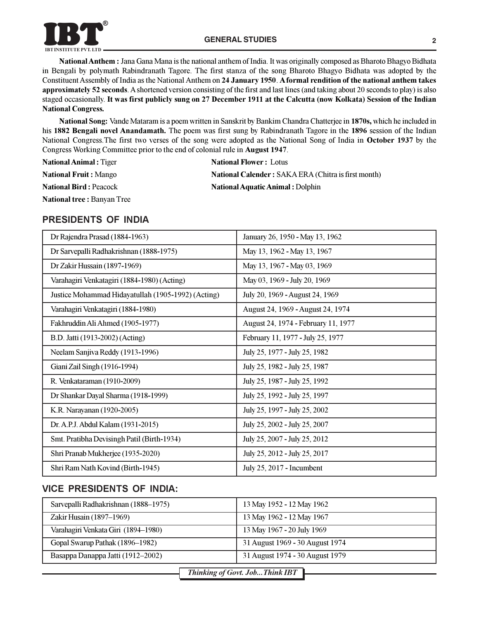

National Anthem: Jana Gana Mana is the national anthem of India. It was originally composed as Bharoto Bhagyo Bidhata in Bengali by polymath Rabindranath Tagore. The first stanza of the song Bharoto Bhagyo Bidhata was adopted by the Constituent Assembly of India as the National Anthem on 24 January 1950. A formal rendition of the national anthem takes approximately 52 seconds. A shortened version consisting of the first and last lines (and taking about 20 seconds to play) is also staged occasionally. It was first publicly sung on 27 December 1911 at the Calcutta (now Kolkata) Session of the Indian **National Congress.** 

National Song: Vande Mataram is a poem written in Sanskrit by Bankim Chandra Chatterjee in 1870s, which he included in his 1882 Bengali novel Anandamath. The poem was first sung by Rabindranath Tagore in the 1896 session of the Indian National Congress. The first two verses of the song were adopted as the National Song of India in October 1937 by the Congress Working Committee prior to the end of colonial rule in August 1947.

| <b>National Animal:</b> Tiger      | <b>National Flower: Lotus</b>                              |
|------------------------------------|------------------------------------------------------------|
| <b>National Fruit: Mango</b>       | <b>National Calender: SAKA ERA (Chitra is first month)</b> |
| <b>National Bird: Peacock</b>      | <b>National Aquatic Animal : Dolphin</b>                   |
| <b>National tree : Banyan Tree</b> |                                                            |

#### PRESIDENTS OF INDIA

| Dr Rajendra Prasad (1884-1963)                     | January 26, 1950 - May 13, 1962     |
|----------------------------------------------------|-------------------------------------|
| Dr Sarvepalli Radhakrishnan (1888-1975)            | May 13, 1962 - May 13, 1967         |
| Dr Zakir Hussain (1897-1969)                       | May 13, 1967 - May 03, 1969         |
| Varahagiri Venkatagiri (1884-1980) (Acting)        | May 03, 1969 - July 20, 1969        |
| Justice Mohammad Hidayatullah (1905-1992) (Acting) | July 20, 1969 - August 24, 1969     |
| Varahagiri Venkatagiri (1884-1980)                 | August 24, 1969 - August 24, 1974   |
| Fakhruddin Ali Ahmed (1905-1977)                   | August 24, 1974 - February 11, 1977 |
| B.D. Jatti (1913-2002) (Acting)                    | February 11, 1977 - July 25, 1977   |
| Neelam Sanjiva Reddy (1913-1996)                   | July 25, 1977 - July 25, 1982       |
| Giani Zail Singh (1916-1994)                       | July 25, 1982 - July 25, 1987       |
| R. Venkataraman (1910-2009)                        | July 25, 1987 - July 25, 1992       |
| Dr Shankar Dayal Sharma (1918-1999)                | July 25, 1992 - July 25, 1997       |
| K.R. Narayanan (1920-2005)                         | July 25, 1997 - July 25, 2002       |
| Dr. A.P.J. Abdul Kalam (1931-2015)                 | July 25, 2002 - July 25, 2007       |
| Smt. Pratibha Devisingh Patil (Birth-1934)         | July 25, 2007 - July 25, 2012       |
| Shri Pranab Mukherjee (1935-2020)                  | July 25, 2012 - July 25, 2017       |
| Shri Ram Nath Kovind (Birth-1945)                  | July 25, 2017 - Incumbent           |

#### **VICE PRESIDENTS OF INDIA:**

| Sarvepalli Radhakrishnan (1888–1975) | 13 May 1952 - 12 May 1962       |
|--------------------------------------|---------------------------------|
| Zakir Husain (1897–1969)             | 13 May 1962 - 12 May 1967       |
| Varahagiri Venkata Giri (1894-1980)  | 13 May 1967 - 20 July 1969      |
| Gopal Swarup Pathak (1896–1982)      | 31 August 1969 - 30 August 1974 |
| Basappa Danappa Jatti (1912–2002)    | 31 August 1974 - 30 August 1979 |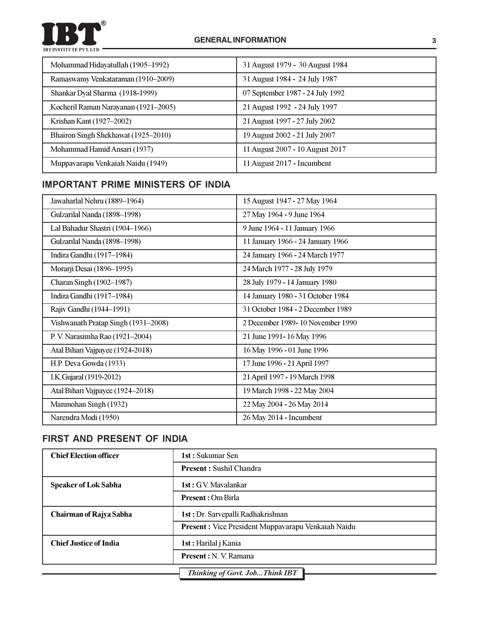#### O  $\bullet$ **IBT INSTITUTE PVT. LTD**

| Mohammad Hidayatullah (1905-1992)    | 31 August 1979 - 30 August 1984  |  |
|--------------------------------------|----------------------------------|--|
| Ramaswamy Venkataraman (1910-2009)   | 31 August 1984 - 24 July 1987    |  |
| Shankar Dyal Sharma (1918-1999)      | 07 September 1987 - 24 July 1992 |  |
| Kocheril Raman Narayanan (1921–2005) | 21 August 1992 - 24 July 1997    |  |
| Krishan Kant (1927–2002)             | 21 August 1997 - 27 July 2002    |  |
| Bhairon Singh Shekhawat (1925–2010)  | 19 August 2002 - 21 July 2007    |  |
| Mohammad Hamid Ansari (1937)         | 11 August 2007 - 10 August 2017  |  |
| Muppavarapu Venkaiah Naidu (1949)    | 11 August 2017 - Incumbent       |  |

## **IMPORTANT PRIME MINISTERS OF INDIA**

| Jawaharlal Nehru (1889-1964)        | 15 August 1947 - 27 May 1964      |
|-------------------------------------|-----------------------------------|
| Gulzarilal Nanda (1898-1998)        | 27 May 1964 - 9 June 1964         |
| Lal Bahadur Shastri (1904-1966)     | 9 June 1964 - 11 January 1966     |
| Gulzarilal Nanda (1898-1998)        | 11 January 1966 - 24 January 1966 |
| Indira Gandhi (1917-1984)           | 24 January 1966 - 24 March 1977   |
| Morarji Desai (1896-1995)           | 24 March 1977 - 28 July 1979      |
| Charan Singh (1902-1987)            | 28 July 1979 - 14 January 1980    |
| Indira Gandhi (1917-1984)           | 14 January 1980 - 31 October 1984 |
| Rajiv Gandhi (1944-1991)            | 31 October 1984 - 2 December 1989 |
| Vishwanath Pratap Singh (1931-2008) | 2 December 1989-10 November 1990  |
| P. V. Narasimha Rao (1921-2004)     | 21 June 1991 - 16 May 1996        |
| Atal Bihari Vajpayee (1924-2018)    | 16 May 1996 - 01 June 1996        |
| H.P. Deva Gowda (1933)              | 17 June 1996 - 21 April 1997      |
| I.K. Gujaral (1919-2012)            | 21 April 1997 - 19 March 1998     |
| Atal Bihari Vajpayee (1924–2018)    | 19 March 1998 - 22 May 2004       |
| Manmohan Singh (1932)               | 22 May 2004 - 26 May 2014         |
| Narendra Modi (1950)                | 26 May 2014 - Incumbent           |

## FIRST AND PRESENT OF INDIA

| <b>Chief Election officer</b>  | 1st: Sukumar Sen                                          |  |  |  |
|--------------------------------|-----------------------------------------------------------|--|--|--|
|                                | <b>Present:</b> Sushil Chandra                            |  |  |  |
| <b>Speaker of Lok Sabha</b>    | 1st: G.V. Mavalankar                                      |  |  |  |
|                                | <b>Present: Om Birla</b>                                  |  |  |  |
| <b>Chairman of Rajya Sabha</b> | <b>1st : Dr. Sarvepalli Radhakrishnan</b>                 |  |  |  |
|                                | <b>Present:</b> Vice President Muppavarapu Venkaiah Naidu |  |  |  |
| <b>Chief Justice of India</b>  | 1st : Harilal j Kania                                     |  |  |  |
|                                | <b>Present</b> : N. V. Ramana                             |  |  |  |
|                                | <b>Thinking of Govt. Job Think IBT</b>                    |  |  |  |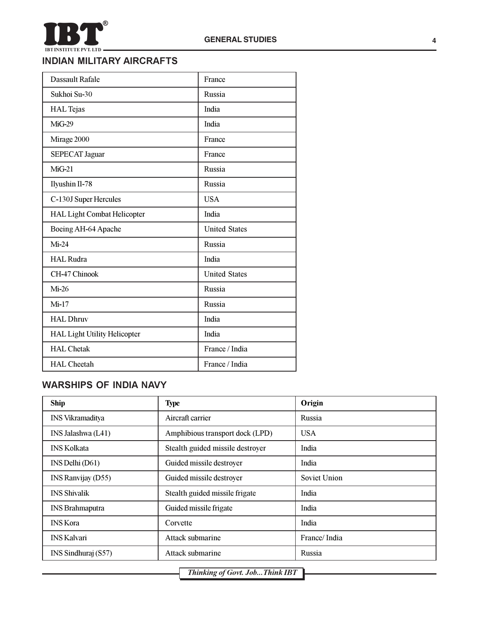

#### **INDIAN MILITARY AIRCRAFTS**

| Dassault Rafale                     | France               |  |
|-------------------------------------|----------------------|--|
| Sukhoi Su-30                        | <b>Russia</b>        |  |
| <b>HAL</b> Tejas                    | India                |  |
| MiG-29                              | India                |  |
| Mirage 2000                         | France               |  |
| <b>SEPECAT Jaguar</b>               | France               |  |
| $MiG-21$                            | Russia               |  |
| Ilyushin Il-78                      | Russia               |  |
| C-130J Super Hercules               | <b>USA</b>           |  |
| <b>HAL Light Combat Helicopter</b>  | India                |  |
| Boeing AH-64 Apache                 | <b>United States</b> |  |
| $Mi-24$                             | Russia               |  |
| <b>HAL Rudra</b>                    | India                |  |
| CH-47 Chinook                       | <b>United States</b> |  |
| $Mi-26$                             | Russia               |  |
| $Mi-17$                             | Russia               |  |
| <b>HAL Dhruv</b>                    | India                |  |
| <b>HAL Light Utility Helicopter</b> | India                |  |
| <b>HAL Chetak</b>                   | France / India       |  |
| <b>HAL</b> Cheetah                  | France / India       |  |

## **WARSHIPS OF INDIA NAVY**

| <b>Ship</b>             | <b>Type</b>                      | Origin       |
|-------------------------|----------------------------------|--------------|
| <b>INS Vikramaditya</b> | Aircraft carrier                 | Russia       |
| INS Jalashwa (L41)      | Amphibious transport dock (LPD)  | <b>USA</b>   |
| <b>INS Kolkata</b>      | Stealth guided missile destroyer | India        |
| INS Delhi (D61)         | Guided missile destroyer         | India        |
| INS Ranvijay (D55)      | Guided missile destroyer         | Soviet Union |
| <b>INS Shivalik</b>     | Stealth guided missile frigate   | India        |
| <b>INS</b> Brahmaputra  | Guided missile frigate           | India        |
| <b>INS</b> Kora         | Corvette                         | India        |
| <b>INS Kalvari</b>      | Attack submarine                 | France/India |
| INS Sindhuraj (S57)     | Attack submarine                 | Russia       |

Thinking of Govt. Job... Think IBT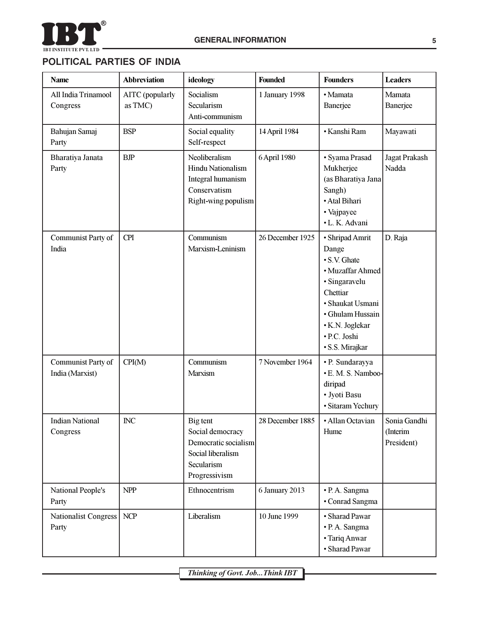

## POLITICAL PARTIES OF INDIA

| <b>Name</b>                           | <b>Abbreviation</b>        | ideology                                                                                                 | Founded          | <b>Founders</b>                                                                                                                                                                         | <b>Leaders</b>                         |
|---------------------------------------|----------------------------|----------------------------------------------------------------------------------------------------------|------------------|-----------------------------------------------------------------------------------------------------------------------------------------------------------------------------------------|----------------------------------------|
| All India Trinamool<br>Congress       | AITC (popularly<br>as TMC) | Socialism<br>Secularism<br>Anti-communism                                                                | 1 January 1998   | · Mamata<br>Banerjee                                                                                                                                                                    | Mamata<br>Banerjee                     |
| Bahujan Samaj<br>Party                | <b>BSP</b>                 | Social equality<br>Self-respect                                                                          | 14 April 1984    | • Kanshi Ram                                                                                                                                                                            | Mayawati                               |
| Bharatiya Janata<br>Party             | <b>BJP</b>                 | Neoliberalism<br><b>Hindu Nationalism</b><br>Integral humanism<br>Conservatism<br>Right-wing populism    | 6 April 1980     | · Syama Prasad<br>Mukherjee<br>(as Bharatiya Jana<br>Sangh)<br>· Atal Bihari<br>• Vajpayee<br>· L. K. Advani                                                                            | <b>Jagat Prakash</b><br>Nadda          |
| Communist Party of<br>India           | <b>CPI</b>                 | Communism<br>Marxism-Leninism                                                                            | 26 December 1925 | · Shripad Amrit<br>Dange<br>• S.V. Ghate<br>· Muzaffar Ahmed<br>· Singaravelu<br>Chettiar<br>· Shaukat Usmani<br>· Ghulam Hussain<br>· K.N. Joglekar<br>· P.C. Joshi<br>· S.S. Mirajkar | D. Raja                                |
| Communist Party of<br>India (Marxist) | CPI(M)                     | Communism<br>Marxism                                                                                     | 7 November 1964  | · P. Sundarayya<br>· E. M. S. Namboo-<br>diripad<br>· Jyoti Basu<br>· Sitaram Yechury                                                                                                   |                                        |
| <b>Indian National</b><br>Congress    | INC                        | Big tent<br>Social democracy<br>Democratic socialism<br>Social liberalism<br>Secularism<br>Progressivism | 28 December 1885 | • Allan Octavian<br>Hume                                                                                                                                                                | Sonia Gandhi<br>(Interim<br>President) |
| National People's<br>Party            | <b>NPP</b>                 | Ethnocentrism                                                                                            | 6 January 2013   | · P. A. Sangma<br>• Conrad Sangma                                                                                                                                                       |                                        |
| <b>Nationalist Congress</b><br>Party  | <b>NCP</b>                 | Liberalism                                                                                               | 10 June 1999     | · Sharad Pawar<br>· P. A. Sangma<br>• Tariq Anwar<br>· Sharad Pawar                                                                                                                     |                                        |